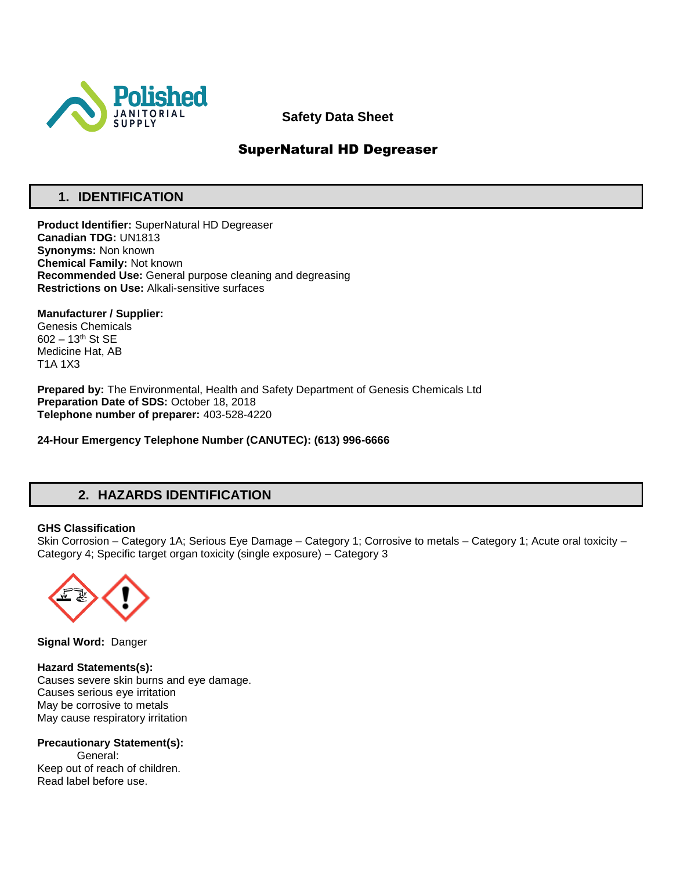

## **Safety Data Sheet**

## SuperNatural HD Degreaser

## **1. IDENTIFICATION**

**Product Identifier:** SuperNatural HD Degreaser **Canadian TDG:** UN1813 **Synonyms:** Non known **Chemical Family:** Not known **Recommended Use:** General purpose cleaning and degreasing **Restrictions on Use:** Alkali-sensitive surfaces

**Manufacturer / Supplier:** Genesis Chemicals 602 – 13th St SE Medicine Hat, AB T1A 1X3

**Prepared by:** The Environmental, Health and Safety Department of Genesis Chemicals Ltd **Preparation Date of SDS:** October 18, 2018 **Telephone number of preparer:** 403-528-4220

**24-Hour Emergency Telephone Number (CANUTEC): (613) 996-6666**

## **2. HAZARDS IDENTIFICATION**

#### **GHS Classification**

Skin Corrosion – Category 1A; Serious Eye Damage – Category 1; Corrosive to metals – Category 1; Acute oral toxicity – Category 4; Specific target organ toxicity (single exposure) – Category 3



**Signal Word:** Danger

**Hazard Statements(s):** Causes severe skin burns and eye damage. Causes serious eye irritation May be corrosive to metals May cause respiratory irritation

**Precautionary Statement(s):** General: Keep out of reach of children. Read label before use.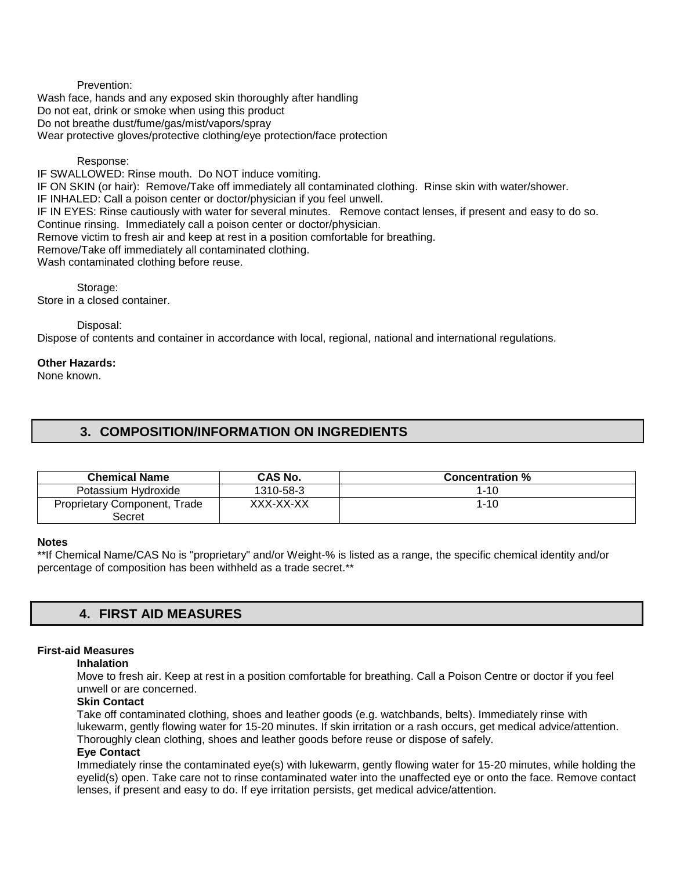Prevention: Wash face, hands and any exposed skin thoroughly after handling Do not eat, drink or smoke when using this product Do not breathe dust/fume/gas/mist/vapors/spray Wear protective gloves/protective clothing/eye protection/face protection

#### Response:

IF SWALLOWED: Rinse mouth. Do NOT induce vomiting. IF ON SKIN (or hair): Remove/Take off immediately all contaminated clothing. Rinse skin with water/shower. IF INHALED: Call a poison center or doctor/physician if you feel unwell. IF IN EYES: Rinse cautiously with water for several minutes. Remove contact lenses, if present and easy to do so. Continue rinsing. Immediately call a poison center or doctor/physician. Remove victim to fresh air and keep at rest in a position comfortable for breathing. Remove/Take off immediately all contaminated clothing. Wash contaminated clothing before reuse.

Storage: Store in a closed container.

Disposal:

Dispose of contents and container in accordance with local, regional, national and international regulations.

#### **Other Hazards:**

None known.

## **3. COMPOSITION/INFORMATION ON INGREDIENTS**

| <b>Chemical Name</b>         | <b>CAS No.</b> | <b>Concentration %</b> |
|------------------------------|----------------|------------------------|
| Potassium Hydroxide          | 1310-58-3      | $1 - 10$               |
| Proprietary Component, Trade | XXX-XX-XX      | 1-10                   |
| Secret                       |                |                        |

#### **Notes**

\*\*If Chemical Name/CAS No is "proprietary" and/or Weight-% is listed as a range, the specific chemical identity and/or percentage of composition has been withheld as a trade secret.\*\*

## **4. FIRST AID MEASURES**

#### **First-aid Measures**

#### **Inhalation**

Move to fresh air. Keep at rest in a position comfortable for breathing. Call a Poison Centre or doctor if you feel unwell or are concerned.

### **Skin Contact**

Take off contaminated clothing, shoes and leather goods (e.g. watchbands, belts). Immediately rinse with lukewarm, gently flowing water for 15-20 minutes. If skin irritation or a rash occurs, get medical advice/attention. Thoroughly clean clothing, shoes and leather goods before reuse or dispose of safely.

#### **Eye Contact**

Immediately rinse the contaminated eye(s) with lukewarm, gently flowing water for 15-20 minutes, while holding the eyelid(s) open. Take care not to rinse contaminated water into the unaffected eye or onto the face. Remove contact lenses, if present and easy to do. If eye irritation persists, get medical advice/attention.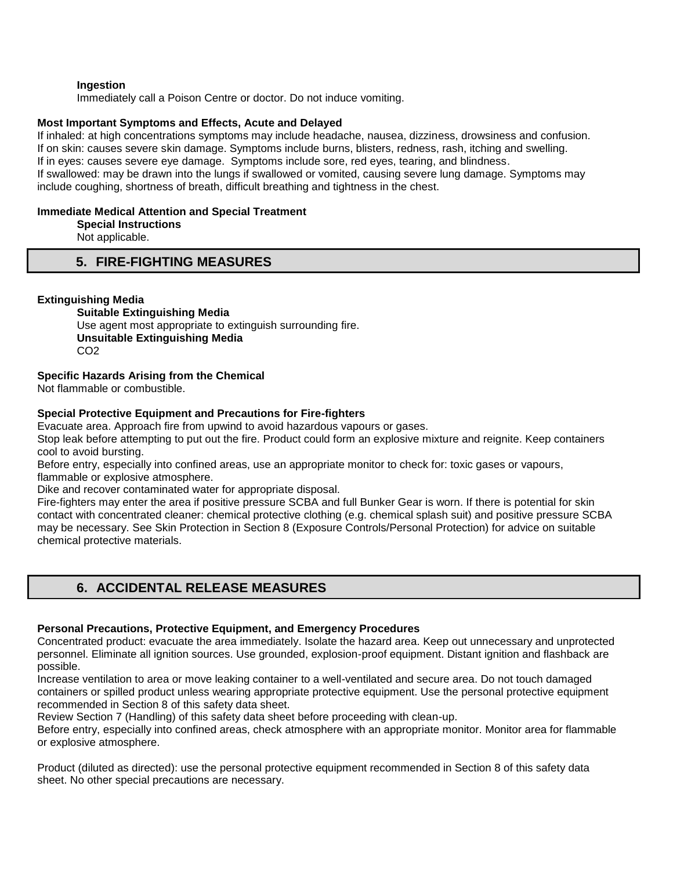#### **Ingestion**

Immediately call a Poison Centre or doctor. Do not induce vomiting.

#### **Most Important Symptoms and Effects, Acute and Delayed**

If inhaled: at high concentrations symptoms may include headache, nausea, dizziness, drowsiness and confusion. If on skin: causes severe skin damage. Symptoms include burns, blisters, redness, rash, itching and swelling. If in eyes: causes severe eye damage. Symptoms include sore, red eyes, tearing, and blindness. If swallowed: may be drawn into the lungs if swallowed or vomited, causing severe lung damage. Symptoms may include coughing, shortness of breath, difficult breathing and tightness in the chest.

#### **Immediate Medical Attention and Special Treatment**

**Special Instructions** 

Not applicable.

## **5. FIRE-FIGHTING MEASURES**

#### **Extinguishing Media**

**Suitable Extinguishing Media** Use agent most appropriate to extinguish surrounding fire. **Unsuitable Extinguishing Media**  CO2

#### **Specific Hazards Arising from the Chemical**

Not flammable or combustible.

#### **Special Protective Equipment and Precautions for Fire-fighters**

Evacuate area. Approach fire from upwind to avoid hazardous vapours or gases.

Stop leak before attempting to put out the fire. Product could form an explosive mixture and reignite. Keep containers cool to avoid bursting.

Before entry, especially into confined areas, use an appropriate monitor to check for: toxic gases or vapours, flammable or explosive atmosphere.

Dike and recover contaminated water for appropriate disposal.

Fire-fighters may enter the area if positive pressure SCBA and full Bunker Gear is worn. If there is potential for skin contact with concentrated cleaner: chemical protective clothing (e.g. chemical splash suit) and positive pressure SCBA may be necessary. See Skin Protection in Section 8 (Exposure Controls/Personal Protection) for advice on suitable chemical protective materials.

## **6. ACCIDENTAL RELEASE MEASURES**

#### **Personal Precautions, Protective Equipment, and Emergency Procedures**

Concentrated product: evacuate the area immediately. Isolate the hazard area. Keep out unnecessary and unprotected personnel. Eliminate all ignition sources. Use grounded, explosion-proof equipment. Distant ignition and flashback are possible.

Increase ventilation to area or move leaking container to a well-ventilated and secure area. Do not touch damaged containers or spilled product unless wearing appropriate protective equipment. Use the personal protective equipment recommended in Section 8 of this safety data sheet.

Review Section 7 (Handling) of this safety data sheet before proceeding with clean-up.

Before entry, especially into confined areas, check atmosphere with an appropriate monitor. Monitor area for flammable or explosive atmosphere.

Product (diluted as directed): use the personal protective equipment recommended in Section 8 of this safety data sheet. No other special precautions are necessary.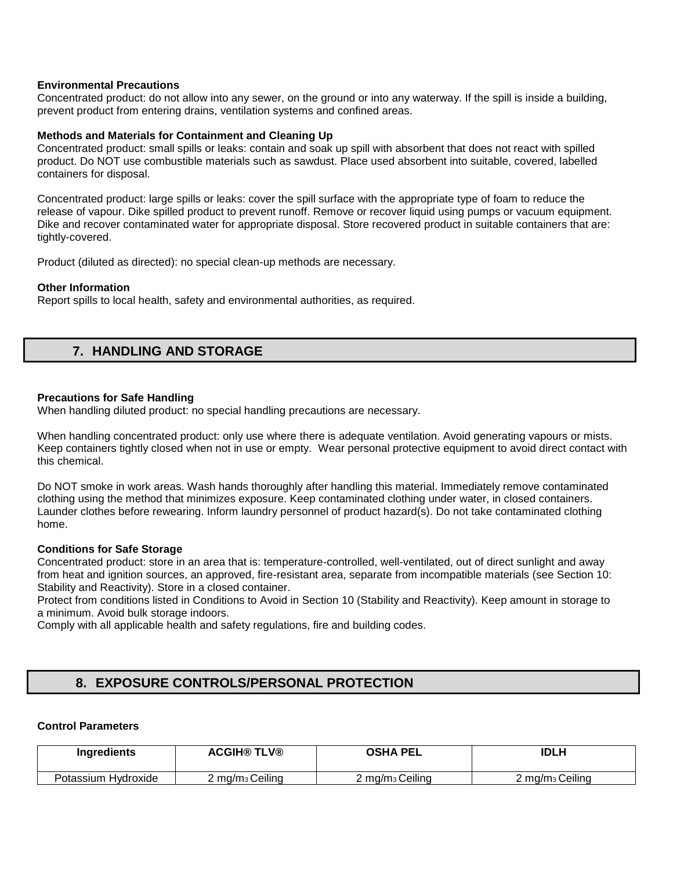#### **Environmental Precautions**

Concentrated product: do not allow into any sewer, on the ground or into any waterway. If the spill is inside a building, prevent product from entering drains, ventilation systems and confined areas.

#### **Methods and Materials for Containment and Cleaning Up**

Concentrated product: small spills or leaks: contain and soak up spill with absorbent that does not react with spilled product. Do NOT use combustible materials such as sawdust. Place used absorbent into suitable, covered, labelled containers for disposal.

Concentrated product: large spills or leaks: cover the spill surface with the appropriate type of foam to reduce the release of vapour. Dike spilled product to prevent runoff. Remove or recover liquid using pumps or vacuum equipment. Dike and recover contaminated water for appropriate disposal. Store recovered product in suitable containers that are: tightly-covered.

Product (diluted as directed): no special clean-up methods are necessary.

#### **Other Information**

Report spills to local health, safety and environmental authorities, as required.

## **7. HANDLING AND STORAGE**

#### **Precautions for Safe Handling**

When handling diluted product: no special handling precautions are necessary.

When handling concentrated product: only use where there is adequate ventilation. Avoid generating vapours or mists. Keep containers tightly closed when not in use or empty. Wear personal protective equipment to avoid direct contact with this chemical.

Do NOT smoke in work areas. Wash hands thoroughly after handling this material. Immediately remove contaminated clothing using the method that minimizes exposure. Keep contaminated clothing under water, in closed containers. Launder clothes before rewearing. Inform laundry personnel of product hazard(s). Do not take contaminated clothing home.

#### **Conditions for Safe Storage**

Concentrated product: store in an area that is: temperature-controlled, well-ventilated, out of direct sunlight and away from heat and ignition sources, an approved, fire-resistant area, separate from incompatible materials (see Section 10: Stability and Reactivity). Store in a closed container.

Protect from conditions listed in Conditions to Avoid in Section 10 (Stability and Reactivity). Keep amount in storage to a minimum. Avoid bulk storage indoors.

Comply with all applicable health and safety regulations, fire and building codes.

## **8. EXPOSURE CONTROLS/PERSONAL PROTECTION**

### **Control Parameters**

| <b>Ingredients</b>  | <b>ACGIH® TLV®</b>          | <b>OSHA PEL</b>             | IDLH                        |
|---------------------|-----------------------------|-----------------------------|-----------------------------|
| Potassium Hydroxide | 2 mg/m <sub>3</sub> Ceiling | 2 mg/m <sub>3</sub> Ceiling | 2 mg/m <sub>3</sub> Ceiling |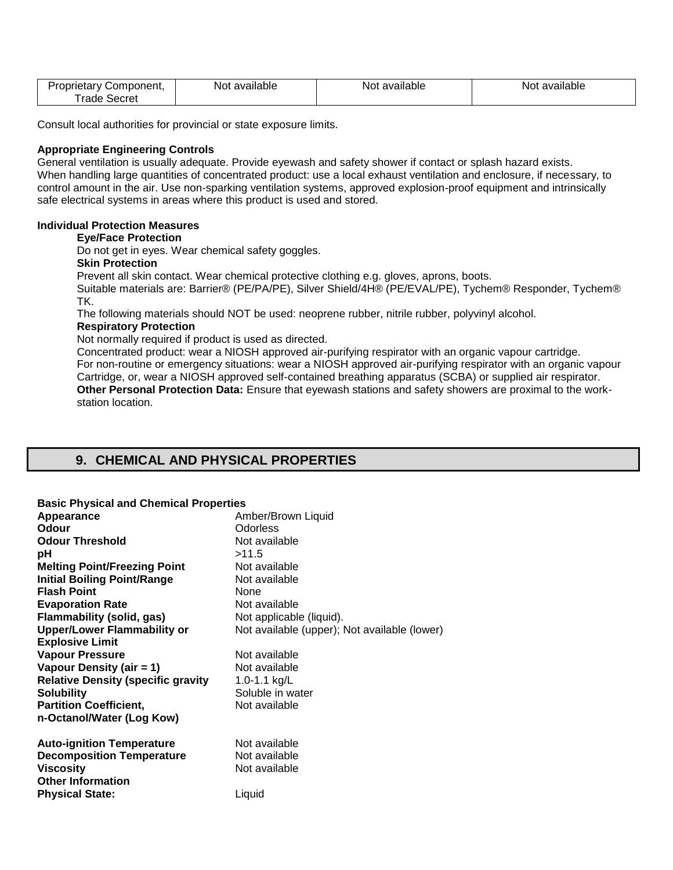| Proprietary    | Not       | Not available | `available |
|----------------|-----------|---------------|------------|
| Component.     | available |               | Not.       |
| rade<br>Secret |           |               |            |

Consult local authorities for provincial or state exposure limits.

#### **Appropriate Engineering Controls**

General ventilation is usually adequate. Provide eyewash and safety shower if contact or splash hazard exists. When handling large quantities of concentrated product: use a local exhaust ventilation and enclosure, if necessary, to control amount in the air. Use non-sparking ventilation systems, approved explosion-proof equipment and intrinsically safe electrical systems in areas where this product is used and stored.

#### **Individual Protection Measures**

#### **Eye/Face Protection**

Do not get in eyes. Wear chemical safety goggles.

#### **Skin Protection**

Prevent all skin contact. Wear chemical protective clothing e.g. gloves, aprons, boots.

Suitable materials are: Barrier® (PE/PA/PE), Silver Shield/4H® (PE/EVAL/PE), Tychem® Responder, Tychem® TK.

The following materials should NOT be used: neoprene rubber, nitrile rubber, polyvinyl alcohol.

### **Respiratory Protection**

Not normally required if product is used as directed.

Concentrated product: wear a NIOSH approved air-purifying respirator with an organic vapour cartridge. For non-routine or emergency situations: wear a NIOSH approved air-purifying respirator with an organic vapour Cartridge, or, wear a NIOSH approved self-contained breathing apparatus (SCBA) or supplied air respirator. **Other Personal Protection Data:** Ensure that eyewash stations and safety showers are proximal to the workstation location.

## **9. CHEMICAL AND PHYSICAL PROPERTIES**

#### **Basic Physical and Chemical Properties**

| Appearance                                | Amber/Brown Liquid                           |
|-------------------------------------------|----------------------------------------------|
| <b>Odour</b>                              | <b>Odorless</b>                              |
| <b>Odour Threshold</b>                    | Not available                                |
| рH                                        | >11.5                                        |
| <b>Melting Point/Freezing Point</b>       | Not available                                |
| <b>Initial Boiling Point/Range</b>        | Not available                                |
| <b>Flash Point</b>                        | None                                         |
| <b>Evaporation Rate</b>                   | Not available                                |
| Flammability (solid, gas)                 | Not applicable (liquid).                     |
| <b>Upper/Lower Flammability or</b>        | Not available (upper); Not available (lower) |
| <b>Explosive Limit</b>                    |                                              |
| <b>Vapour Pressure</b>                    | Not available                                |
| Vapour Density (air $= 1$ )               | Not available                                |
| <b>Relative Density (specific gravity</b> | 1.0-1.1 $kg/L$                               |
| <b>Solubility</b>                         | Soluble in water                             |
| <b>Partition Coefficient,</b>             | Not available                                |
| n-Octanol/Water (Log Kow)                 |                                              |
|                                           |                                              |
| <b>Auto-ignition Temperature</b>          | Not available                                |
| <b>Decomposition Temperature</b>          | Not available                                |
| <b>Viscosity</b>                          | Not available                                |
| <b>Other Information</b>                  |                                              |
| <b>Physical State:</b>                    | Liquid                                       |
|                                           |                                              |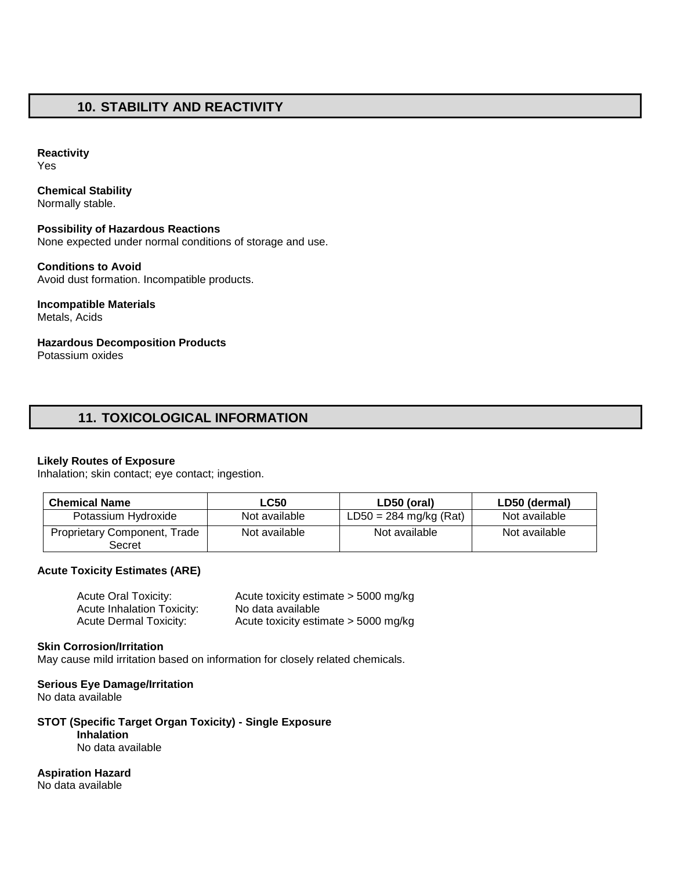## **10. STABILITY AND REACTIVITY**

### **Reactivity**

Yes

## **Chemical Stability**

Normally stable.

#### **Possibility of Hazardous Reactions**  None expected under normal conditions of storage and use.

**Conditions to Avoid**  Avoid dust formation. Incompatible products.

# **Incompatible Materials**

Metals, Acids

## **Hazardous Decomposition Products**

Potassium oxides

## **11. TOXICOLOGICAL INFORMATION**

### **Likely Routes of Exposure**

Inhalation; skin contact; eye contact; ingestion.

| <b>Chemical Name</b>                   | <b>LC50</b>   | LD50 (oral)              | LD50 (dermal) |
|----------------------------------------|---------------|--------------------------|---------------|
| Potassium Hydroxide                    | Not available | $LD50 = 284$ mg/kg (Rat) | Not available |
| Proprietary Component, Trade<br>Secret | Not available | Not available            | Not available |

### **Acute Toxicity Estimates (ARE)**

| <b>Acute Oral Toxicity:</b>       | Acute toxicity estimate > 5000 mg/kg   |
|-----------------------------------|----------------------------------------|
| <b>Acute Inhalation Toxicity:</b> | No data available                      |
| <b>Acute Dermal Toxicity:</b>     | Acute toxicity estimate $>$ 5000 mg/kg |

#### **Skin Corrosion/Irritation**

May cause mild irritation based on information for closely related chemicals.

### **Serious Eye Damage/Irritation**

No data available

## **STOT (Specific Target Organ Toxicity) - Single Exposure**

**Inhalation** 

No data available

**Aspiration Hazard**

No data available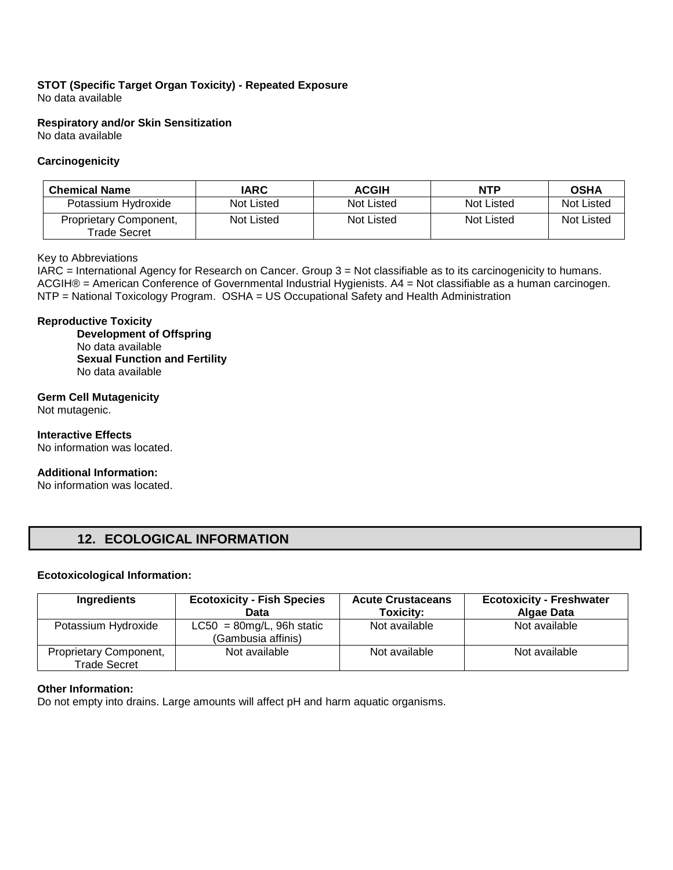### **STOT (Specific Target Organ Toxicity) - Repeated Exposure**  No data available

**Respiratory and/or Skin Sensitization** 

No data available

### **Carcinogenicity**

| <b>Chemical Name</b>                          | <b>IARC</b> | <b>ACGIH</b> | <b>NTP</b> | <b>OSHA</b> |
|-----------------------------------------------|-------------|--------------|------------|-------------|
| Potassium Hydroxide                           | Not Listed  | Not Listed   | Not Listed | Not Listed  |
| Proprietary Component,<br><b>Trade Secret</b> | Not Listed  | Not Listed   | Not Listed | Not Listed  |

#### Key to Abbreviations

IARC = International Agency for Research on Cancer. Group 3 = Not classifiable as to its carcinogenicity to humans. ACGIH® = American Conference of Governmental Industrial Hygienists. A4 = Not classifiable as a human carcinogen. NTP = National Toxicology Program. OSHA = US Occupational Safety and Health Administration

#### **Reproductive Toxicity**

**Development of Offspring**  No data available **Sexual Function and Fertility**  No data available

### **Germ Cell Mutagenicity**

Not mutagenic.

### **Interactive Effects**

No information was located.

#### **Additional Information:**

No information was located.

# **12. ECOLOGICAL INFORMATION**

#### **Ecotoxicological Information:**

| Ingredients                                   | <b>Ecotoxicity - Fish Species</b><br>Data          | <b>Acute Crustaceans</b><br>Toxicity: | <b>Ecotoxicity - Freshwater</b><br><b>Algae Data</b> |
|-----------------------------------------------|----------------------------------------------------|---------------------------------------|------------------------------------------------------|
| Potassium Hydroxide                           | $LC50 = 80$ mg/L, 96h static<br>(Gambusia affinis) | Not available                         | Not available                                        |
| Proprietary Component,<br><b>Trade Secret</b> | Not available                                      | Not available                         | Not available                                        |

### **Other Information:**

Do not empty into drains. Large amounts will affect pH and harm aquatic organisms.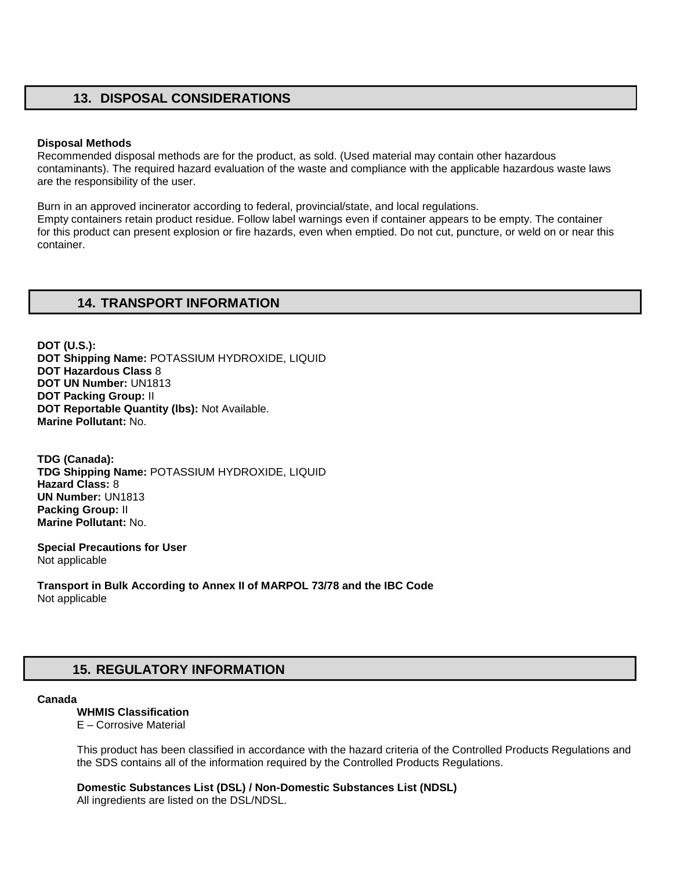## **13. DISPOSAL CONSIDERATIONS**

#### **Disposal Methods**

Recommended disposal methods are for the product, as sold. (Used material may contain other hazardous contaminants). The required hazard evaluation of the waste and compliance with the applicable hazardous waste laws are the responsibility of the user.

Burn in an approved incinerator according to federal, provincial/state, and local regulations. Empty containers retain product residue. Follow label warnings even if container appears to be empty. The container for this product can present explosion or fire hazards, even when emptied. Do not cut, puncture, or weld on or near this container.

## **14. TRANSPORT INFORMATION**

**DOT (U.S.): DOT Shipping Name:** POTASSIUM HYDROXIDE, LIQUID **DOT Hazardous Class** 8 **DOT UN Number:** UN1813 **DOT Packing Group:** II **DOT Reportable Quantity (lbs):** Not Available. **Marine Pollutant:** No.

**TDG (Canada): TDG Shipping Name:** POTASSIUM HYDROXIDE, LIQUID **Hazard Class:** 8 **UN Number:** UN1813 **Packing Group:** II **Marine Pollutant:** No.

**Special Precautions for User** Not applicable

**Transport in Bulk According to Annex II of MARPOL 73/78 and the IBC Code**  Not applicable

# **15. REGULATORY INFORMATION**

#### **Canada**

### **WHMIS Classification**

E – Corrosive Material

This product has been classified in accordance with the hazard criteria of the Controlled Products Regulations and the SDS contains all of the information required by the Controlled Products Regulations.

**Domestic Substances List (DSL) / Non-Domestic Substances List (NDSL)**  All ingredients are listed on the DSL/NDSL.